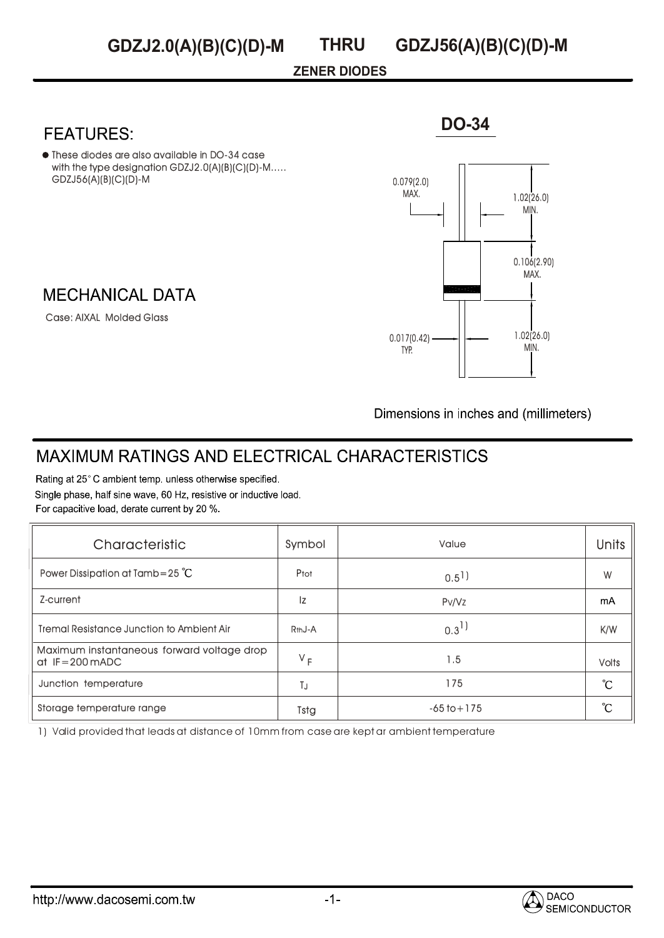## **ZENER DIODES**

These diodes are also available in DO-34 case with the type designation GDZJ2.0(A)(B)(C)(D)-M..... GDZJ56(A)(B)(C)(D)-M

## **MECHANICAL DATA**

Case: AIXAL Molded Glass

# 1.02(26.0) MIN. 1.02(26.0) MIN. 0.017(0.42) TYP. 0.079(2.0) MAX. 0.106(2.90) MAX.

**DO-34**

Dimensions in inches and (millimeters)

# **MAXIMUM RATINGS AND ELECTRICAL CHARACTERISTICS**

Rating at 25°C ambient temp. unless otherwise specified. Single phase, half sine wave, 60 Hz, resistive or inductive load. For capacitive load, derate current by 20 %.

| Characteristic                                                           | Symbol              | Value                | <b>Units</b> |
|--------------------------------------------------------------------------|---------------------|----------------------|--------------|
| Power Dissipation at Tamb=25 $^{\circ}$ C                                | Ptot                | $0.5$ <sup>1</sup> ) | W            |
| Z-current                                                                | Iz                  | Pv/Vz                | mA           |
| <b>Tremal Resistance Junction to Ambient Air</b>                         | R <sub>th</sub> J-A | $0.3^{1}$            | K/W          |
| Maximum instantaneous forward voltage drop<br>at $IF = 200 \text{ mADC}$ | $V_F$               | 1.5                  | <b>Volts</b> |
| Junction temperature                                                     | ТJ                  | 175                  | °C           |
| Storage temperature range                                                | Tstg                | $-65$ to $+175$      | °C           |

1) Valid provided that leads at distance of 10mm from case are kept ar ambient temperature

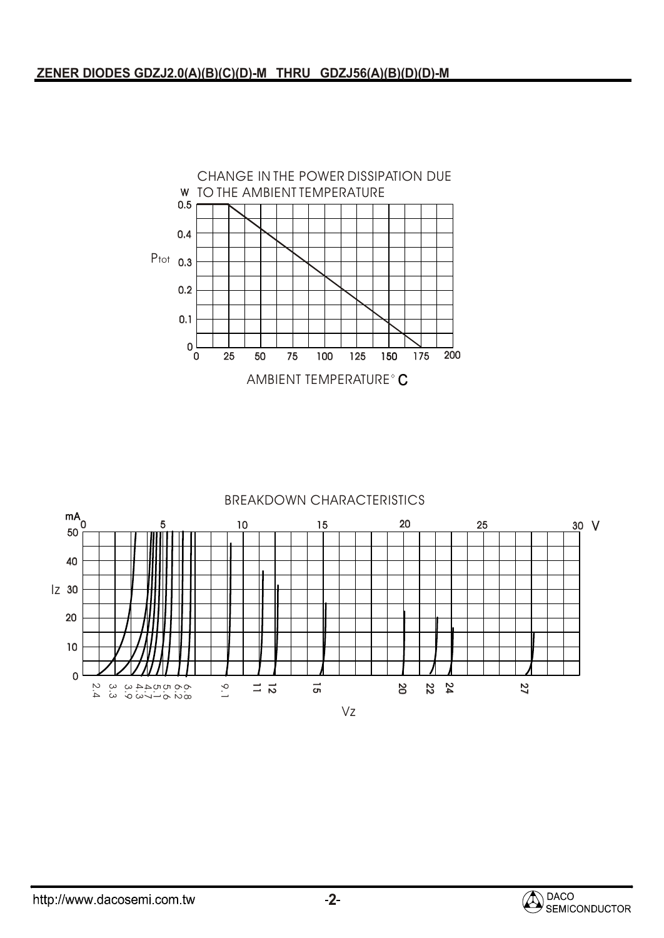

### BREAKDOWN CHARACTERISTICS



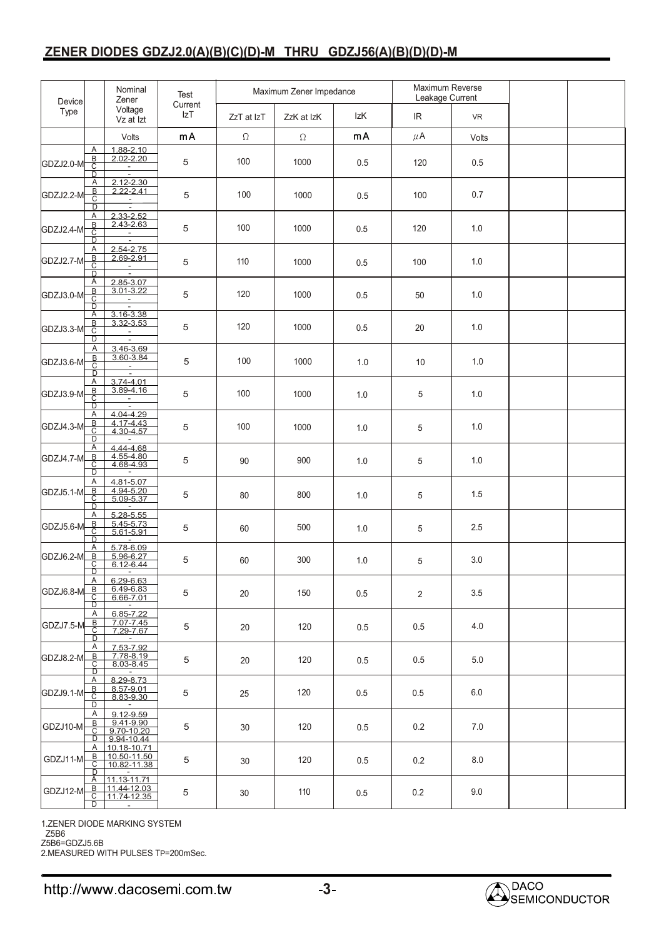## **ZENER DIODES GDZJ2.0(A)(B)(C)(D)-M THRU GDZJ56(A)(B)(D)(D)-M**

| Device    |                                                            | Nominal<br>Zener<br>Voltage<br>Vz at Izt               | Test<br>Current<br>IzT | Maximum Zener Impedance |            |     | Maximum Reverse<br>Leakage Current |           |  |
|-----------|------------------------------------------------------------|--------------------------------------------------------|------------------------|-------------------------|------------|-----|------------------------------------|-----------|--|
| Type      |                                                            |                                                        |                        | ZzT at IzT              | ZzK at IzK | IzK | IR.                                | <b>VR</b> |  |
|           |                                                            | Volts                                                  | mA                     | $\Omega$                | $\Omega$   | mA  | $\mu$ A                            | Volts     |  |
| GDZJ2.0-M | Α<br>$rac{B}{C}$<br>D.                                     | 1.88-2.10<br>$2.02 - 2.20$<br>$\sim$<br>$\blacksquare$ | 5                      | 100                     | 1000       | 0.5 | 120                                | 0.5       |  |
| GDZJ2.2-M | Α<br>$rac{B}{C}$<br>D                                      | $2.12 - 2.30$<br>$2.22 - 2.41$<br>$\sim$<br>$\sim$     | 5                      | 100                     | 1000       | 0.5 | 100                                | 0.7       |  |
| GDZJ2.4-M | Α<br>$rac{B}{C}$<br>$\overline{D}$                         | 2.33-2.52<br>2.43-2.63<br>$\blacksquare$<br>Ξ          | 5                      | 100                     | 1000       | 0.5 | 120                                | 1.0       |  |
| GDZJ2.7-M | Α<br>$rac{B}{C}$<br>$\overline{D}$                         | $2.54 - 2.75$<br>2.69-2.91<br>$\blacksquare$           | 5                      | 110                     | 1000       | 0.5 | 100                                | 1.0       |  |
| GDZJ3.0-M | Α<br>$rac{B}{C}$<br>$\overline{D}$                         | 2.85-3.07<br>$3.01 - 3.22$<br>÷                        | 5                      | 120                     | 1000       | 0.5 | 50                                 | 1.0       |  |
| GDZJ3.3-M | Α<br>$rac{B}{C}$<br>D                                      | $3.16 - 3.38$<br>3.32-3.53<br>$\blacksquare$<br>Ξ      | 5                      | 120                     | 1000       | 0.5 | 20                                 | 1.0       |  |
| GDZJ3.6-M | Α<br>$rac{B}{C}$<br>D                                      | 3.46-3.69<br>3.60-3.84<br>$\frac{1}{2}$                | 5                      | 100                     | 1000       | 1.0 | 10                                 | 1.0       |  |
| GDZJ3.9-M | Α<br><u>B</u><br>$\overline{C}$<br>$\overline{\mathsf{D}}$ | 3.74-4.01<br>3.89-4.16<br>$\overline{a}$               | 5                      | 100                     | 1000       | 1.0 | 5                                  | 1.0       |  |
| GDZJ4.3-M | Α<br><u>B</u><br>$\overline{c}$<br>$\overline{D}$          | 4.04-4.29<br>4.17-4.43<br>$4.30 - 4.57$<br>$\sim$      | 5                      | 100                     | 1000       | 1.0 | 5                                  | 1.0       |  |
| GDZJ4.7-M | Α<br>B<br>C<br>$\overline{D}$                              | 4.44-4.68<br>4.55-4.80<br>4.68-4.93                    | 5                      | 90                      | 900        | 1.0 | 5                                  | 1.0       |  |
| GDZJ5.1-M | Α<br>$\overline{B}$<br>C<br>D                              | 4.81-5.07<br>4.94-5.20<br>5.09-5.37                    | 5                      | 80                      | 800        | 1.0 | 5                                  | 1.5       |  |
| GDZJ5.6-M | Α<br><u>B</u><br>С<br>$\overline{\mathsf{D}}$              | $5.28 - 5.55$<br>5.45-5.73<br>$5.61 - 5.91$            | 5                      | 60                      | 500        | 1.0 | 5                                  | 2.5       |  |
| GDZJ6.2-M | Α<br><u>B</u><br>С<br>D                                    | 5.78-6.09<br>5.96-6.27<br>6.12-6.44<br>$\sim$          | 5                      | 60                      | 300        | 1.0 | 5                                  | 3.0       |  |
| GDZJ6.8-M | Α<br>$\overline{B}$<br>С<br>D                              | 6.29-6.63<br>6.49-6.83<br>6.66-7.01                    | 5                      | 20                      | 150        | 0.5 | 2                                  | 3.5       |  |
| GDZJ7.5-M | Α<br>B<br>С<br>D                                           | 6.85-7.22<br>7.07-7.45<br>7.29-7.67                    | 5                      | 20                      | 120        | 0.5 | 0.5                                | 4.0       |  |
| GDZJ8.2-M | Α<br><u>B</u><br>С<br>D                                    | 7.53-7.92<br>7.78-8.19<br>8.03-8.45                    | 5                      | 20                      | 120        | 0.5 | 0.5                                | 5.0       |  |
| GDZJ9.1-M | Α<br>B<br>$\overline{c}$<br>D                              | 8.29-8.73<br>8.57-9.01<br>8.83-9.30<br>$\sim$          | 5                      | 25                      | 120        | 0.5 | 0.5                                | 6.0       |  |
| GDZJ10-M  | Α<br><u>B.</u><br>С<br>D                                   | 9.12-9.59<br>9.41-9.90<br>9.70-10.20<br>9.94-10.44     | 5                      | 30                      | 120        | 0.5 | 0.2                                | 7.0       |  |
| GDZJ11-M  | Α<br><u>B</u><br>С<br>D                                    | 10.18-10.71<br>10.50-11.50<br>10.82-11.38              | 5                      | 30                      | 120        | 0.5 | 0.2                                | 8.0       |  |
| GDZJ12-M  | Α<br>$\mathsf B$<br>$\overline{\text{c}}$<br>D             | 11.13-11.71<br>11.44-12.03<br>11.74-12.35<br>$\sim$    | 5                      | 30                      | 110        | 0.5 | 0.2                                | 9.0       |  |

1.ZENER DIODE MARKING SYSTEM

Z5B6

Z5B6=GDZJ5.6B 2.MEASURED WITH PULSES TP=200mSec.